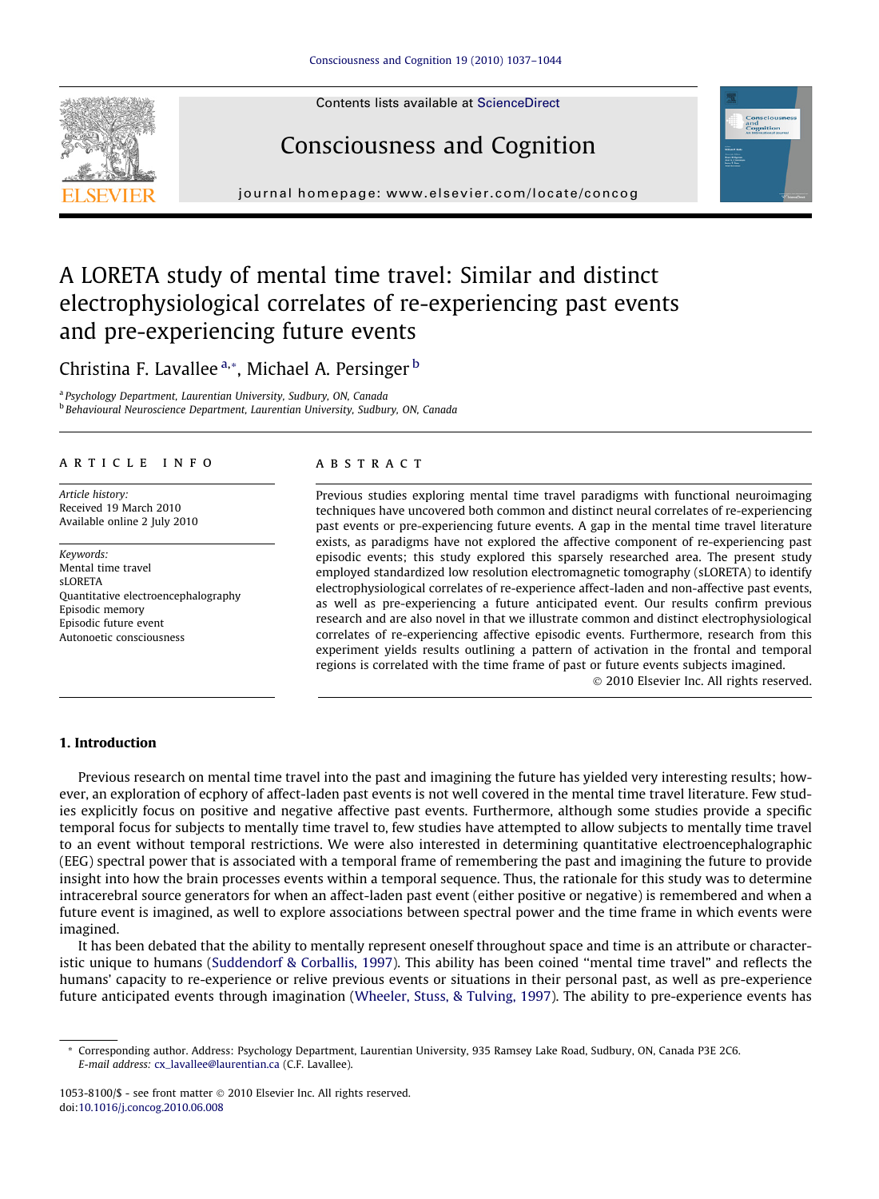Contents lists available at [ScienceDirect](http://www.sciencedirect.com/science/journal/10538100)

# Consciousness and Cognition

journal homepage: [www.elsevier.com/locate/concog](http://www.elsevier.com/locate/concog)

### A LORETA study of mental time travel: Similar and distinct electrophysiological correlates of re-experiencing past events and pre-experiencing future events

Christina F. Lavallee <sup>a,</sup>\*, Michael A. Persinger <sup>b</sup>

<sup>a</sup> Psychology Department, Laurentian University, Sudbury, ON, Canada **b Behavioural Neuroscience Department, Laurentian University, Sudbury, ON, Canada** 

#### article info

Article history: Received 19 March 2010 Available online 2 July 2010

Keywords: Mental time travel  $sI$  ORFTA Quantitative electroencephalography Episodic memory Episodic future event Autonoetic consciousness

#### ABSTRACT

Previous studies exploring mental time travel paradigms with functional neuroimaging techniques have uncovered both common and distinct neural correlates of re-experiencing past events or pre-experiencing future events. A gap in the mental time travel literature exists, as paradigms have not explored the affective component of re-experiencing past episodic events; this study explored this sparsely researched area. The present study employed standardized low resolution electromagnetic tomography (sLORETA) to identify electrophysiological correlates of re-experience affect-laden and non-affective past events, as well as pre-experiencing a future anticipated event. Our results confirm previous research and are also novel in that we illustrate common and distinct electrophysiological correlates of re-experiencing affective episodic events. Furthermore, research from this experiment yields results outlining a pattern of activation in the frontal and temporal regions is correlated with the time frame of past or future events subjects imagined.

- 2010 Elsevier Inc. All rights reserved.

#### 1. Introduction

Previous research on mental time travel into the past and imagining the future has yielded very interesting results; however, an exploration of ecphory of affect-laden past events is not well covered in the mental time travel literature. Few studies explicitly focus on positive and negative affective past events. Furthermore, although some studies provide a specific temporal focus for subjects to mentally time travel to, few studies have attempted to allow subjects to mentally time travel to an event without temporal restrictions. We were also interested in determining quantitative electroencephalographic (EEG) spectral power that is associated with a temporal frame of remembering the past and imagining the future to provide insight into how the brain processes events within a temporal sequence. Thus, the rationale for this study was to determine intracerebral source generators for when an affect-laden past event (either positive or negative) is remembered and when a future event is imagined, as well to explore associations between spectral power and the time frame in which events were imagined.

It has been debated that the ability to mentally represent oneself throughout space and time is an attribute or characteristic unique to humans [\(Suddendorf & Corballis, 1997](#page--1-0)). This ability has been coined ''mental time travel" and reflects the humans' capacity to re-experience or relive previous events or situations in their personal past, as well as pre-experience future anticipated events through imagination ([Wheeler, Stuss, & Tulving, 1997](#page--1-0)). The ability to pre-experience events has





<sup>\*</sup> Corresponding author. Address: Psychology Department, Laurentian University, 935 Ramsey Lake Road, Sudbury, ON, Canada P3E 2C6. E-mail address: [cx\\_lavallee@laurentian.ca](mailto:cx_lavallee@laurentian.ca) (C.F. Lavallee).

<sup>1053-8100/\$ -</sup> see front matter © 2010 Elsevier Inc. All rights reserved. doi:[10.1016/j.concog.2010.06.008](http://dx.doi.org/10.1016/j.concog.2010.06.008)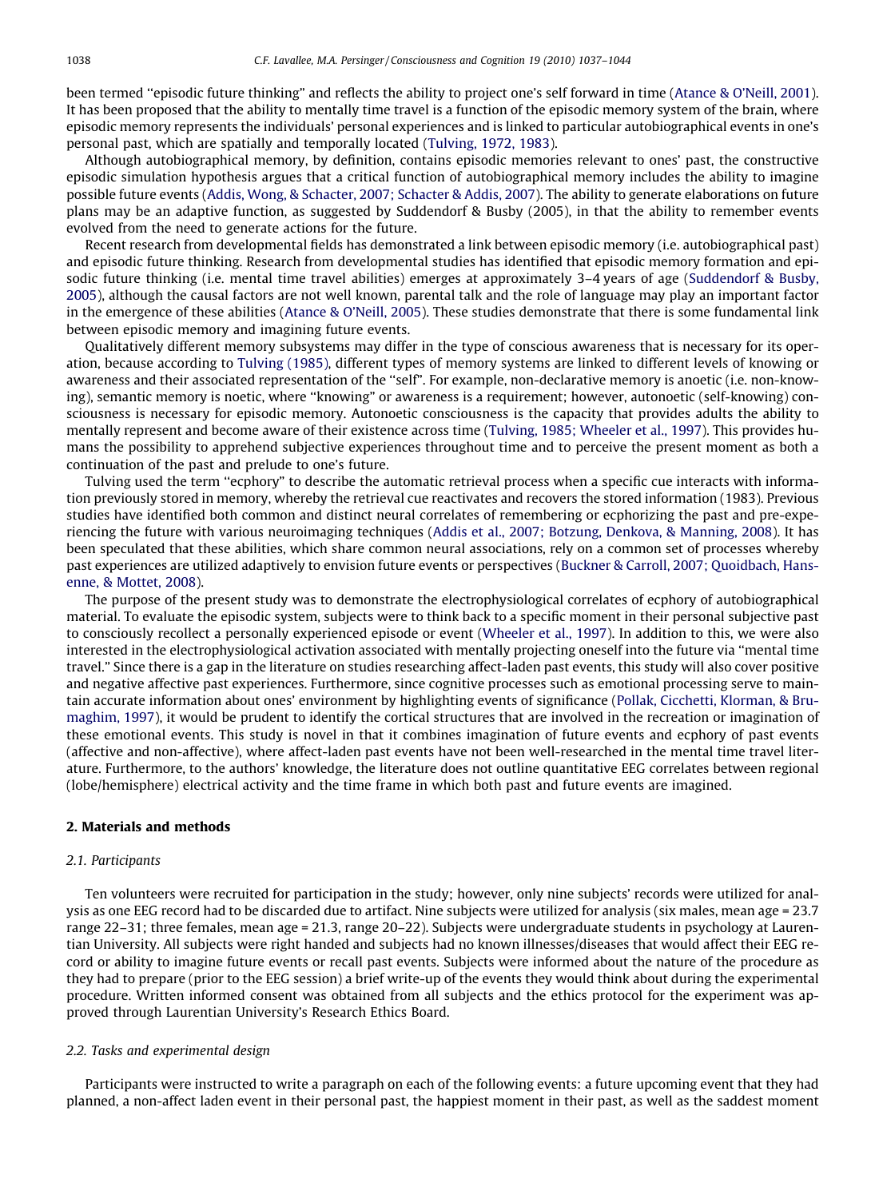been termed "episodic future thinking" and reflects the ability to project one's self forward in time [\(Atance & O'Neill, 2001](#page--1-0)). It has been proposed that the ability to mentally time travel is a function of the episodic memory system of the brain, where episodic memory represents the individuals' personal experiences and is linked to particular autobiographical events in one's personal past, which are spatially and temporally located [\(Tulving, 1972, 1983\)](#page--1-0).

Although autobiographical memory, by definition, contains episodic memories relevant to ones' past, the constructive episodic simulation hypothesis argues that a critical function of autobiographical memory includes the ability to imagine possible future events [\(Addis, Wong, & Schacter, 2007; Schacter & Addis, 2007\)](#page--1-0). The ability to generate elaborations on future plans may be an adaptive function, as suggested by Suddendorf & Busby (2005), in that the ability to remember events evolved from the need to generate actions for the future.

Recent research from developmental fields has demonstrated a link between episodic memory (i.e. autobiographical past) and episodic future thinking. Research from developmental studies has identified that episodic memory formation and episodic future thinking (i.e. mental time travel abilities) emerges at approximately 3–4 years of age ([Suddendorf & Busby,](#page--1-0) [2005](#page--1-0)), although the causal factors are not well known, parental talk and the role of language may play an important factor in the emergence of these abilities [\(Atance & O'Neill, 2005](#page--1-0)). These studies demonstrate that there is some fundamental link between episodic memory and imagining future events.

Qualitatively different memory subsystems may differ in the type of conscious awareness that is necessary for its operation, because according to [Tulving \(1985\)](#page--1-0), different types of memory systems are linked to different levels of knowing or awareness and their associated representation of the ''self". For example, non-declarative memory is anoetic (i.e. non-knowing), semantic memory is noetic, where ''knowing" or awareness is a requirement; however, autonoetic (self-knowing) consciousness is necessary for episodic memory. Autonoetic consciousness is the capacity that provides adults the ability to mentally represent and become aware of their existence across time [\(Tulving, 1985; Wheeler et al., 1997\)](#page--1-0). This provides humans the possibility to apprehend subjective experiences throughout time and to perceive the present moment as both a continuation of the past and prelude to one's future.

Tulving used the term ''ecphory" to describe the automatic retrieval process when a specific cue interacts with information previously stored in memory, whereby the retrieval cue reactivates and recovers the stored information (1983). Previous studies have identified both common and distinct neural correlates of remembering or ecphorizing the past and pre-experiencing the future with various neuroimaging techniques [\(Addis et al., 2007; Botzung, Denkova, & Manning, 2008\)](#page--1-0). It has been speculated that these abilities, which share common neural associations, rely on a common set of processes whereby past experiences are utilized adaptively to envision future events or perspectives ([Buckner & Carroll, 2007; Quoidbach, Hans](#page--1-0)[enne, & Mottet, 2008](#page--1-0)).

The purpose of the present study was to demonstrate the electrophysiological correlates of ecphory of autobiographical material. To evaluate the episodic system, subjects were to think back to a specific moment in their personal subjective past to consciously recollect a personally experienced episode or event [\(Wheeler et al., 1997](#page--1-0)). In addition to this, we were also interested in the electrophysiological activation associated with mentally projecting oneself into the future via ''mental time travel." Since there is a gap in the literature on studies researching affect-laden past events, this study will also cover positive and negative affective past experiences. Furthermore, since cognitive processes such as emotional processing serve to maintain accurate information about ones' environment by highlighting events of significance [\(Pollak, Cicchetti, Klorman, & Bru](#page--1-0)[maghim, 1997\)](#page--1-0), it would be prudent to identify the cortical structures that are involved in the recreation or imagination of these emotional events. This study is novel in that it combines imagination of future events and ecphory of past events (affective and non-affective), where affect-laden past events have not been well-researched in the mental time travel literature. Furthermore, to the authors' knowledge, the literature does not outline quantitative EEG correlates between regional (lobe/hemisphere) electrical activity and the time frame in which both past and future events are imagined.

#### 2. Materials and methods

#### 2.1. Participants

Ten volunteers were recruited for participation in the study; however, only nine subjects' records were utilized for analysis as one EEG record had to be discarded due to artifact. Nine subjects were utilized for analysis (six males, mean age = 23.7 range 22–31; three females, mean age = 21.3, range 20–22). Subjects were undergraduate students in psychology at Laurentian University. All subjects were right handed and subjects had no known illnesses/diseases that would affect their EEG record or ability to imagine future events or recall past events. Subjects were informed about the nature of the procedure as they had to prepare (prior to the EEG session) a brief write-up of the events they would think about during the experimental procedure. Written informed consent was obtained from all subjects and the ethics protocol for the experiment was approved through Laurentian University's Research Ethics Board.

#### 2.2. Tasks and experimental design

Participants were instructed to write a paragraph on each of the following events: a future upcoming event that they had planned, a non-affect laden event in their personal past, the happiest moment in their past, as well as the saddest moment